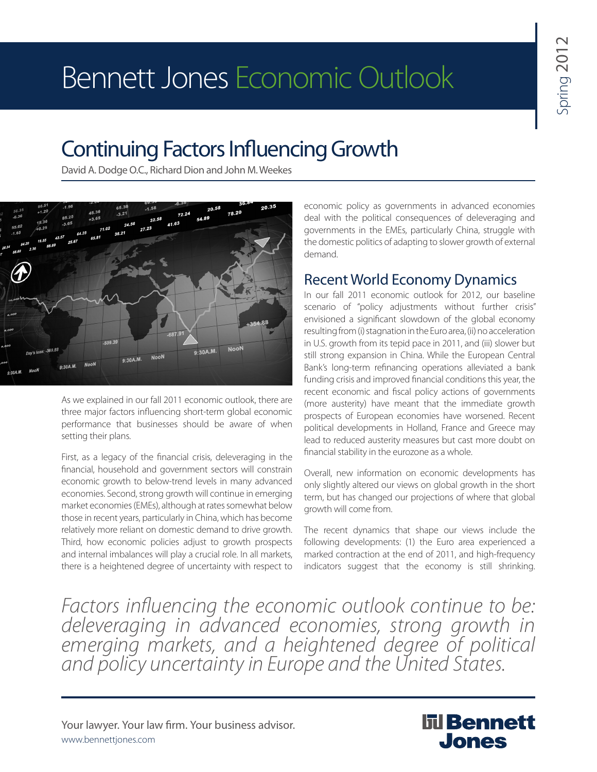# Bennett Jones Economic Outlook

# Continuing Factors Influencing Growth

David A. Dodge O.C., Richard Dion and John M. Weekes



As we explained in our fall 2011 economic outlook, there are three major factors influencing short-term global economic performance that businesses should be aware of when setting their plans.

First, as a legacy of the financial crisis, deleveraging in the financial, household and government sectors will constrain economic growth to below-trend levels in many advanced economies. Second, strong growth will continue in emerging market economies (EMEs), although at rates somewhat below those in recent years, particularly in China, which has become relatively more reliant on domestic demand to drive growth. Third, how economic policies adjust to growth prospects and internal imbalances will play a crucial role. In all markets, there is a heightened degree of uncertainty with respect to

economic policy as governments in advanced economies deal with the political consequences of deleveraging and governments in the EMEs, particularly China, struggle with the domestic politics of adapting to slower growth of external demand.

## Recent World Economy Dynamics

In our fall 2011 economic outlook for 2012, our baseline scenario of "policy adjustments without further crisis" envisioned a significant slowdown of the global economy resulting from (i) stagnation in the Euro area, (ii) no acceleration in U.S. growth from its tepid pace in 2011, and (iii) slower but still strong expansion in China. While the European Central Bank's long-term refinancing operations alleviated a bank funding crisis and improved financial conditions this year, the recent economic and fiscal policy actions of governments (more austerity) have meant that the immediate growth prospects of European economies have worsened. Recent political developments in Holland, France and Greece may lead to reduced austerity measures but cast more doubt on financial stability in the eurozone as a whole.

Overall, new information on economic developments has only slightly altered our views on global growth in the short term, but has changed our projections of where that global growth will come from.

The recent dynamics that shape our views include the following developments: (1) the Euro area experienced a marked contraction at the end of 2011, and high-frequency indicators suggest that the economy is still shrinking.

*Factors influencing the economic outlook continue to be: deleveraging in advanced economies, strong growth in emerging markets, and a heightened degree of political and policy uncertainty in Europe and the United States.*

Your lawyer. Your law firm. Your business advisor. www.bennettjones.com

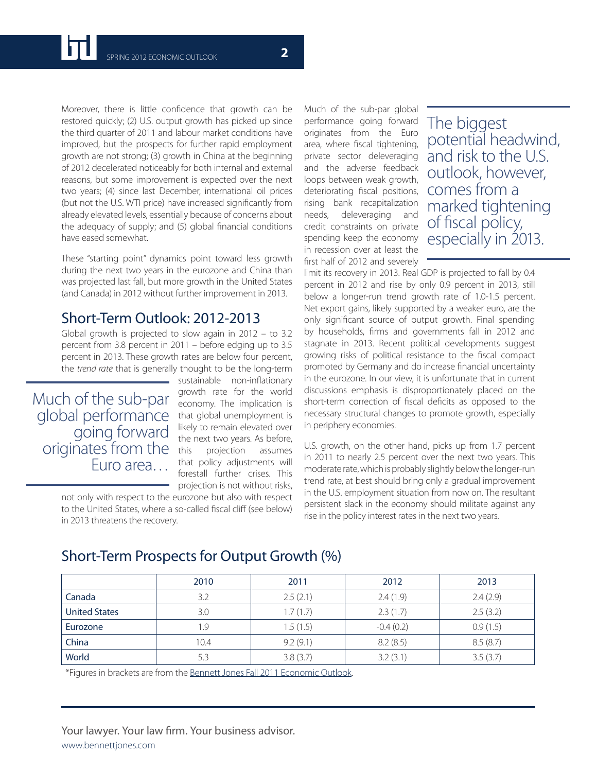Moreover, there is little confidence that growth can be restored quickly; (2) U.S. output growth has picked up since the third quarter of 2011 and labour market conditions have improved, but the prospects for further rapid employment growth are not strong; (3) growth in China at the beginning of 2012 decelerated noticeably for both internal and external reasons, but some improvement is expected over the next two years; (4) since last December, international oil prices (but not the U.S. WTI price) have increased significantly from already elevated levels, essentially because of concerns about the adequacy of supply; and (5) global financial conditions have eased somewhat.

These "starting point" dynamics point toward less growth during the next two years in the eurozone and China than was projected last fall, but more growth in the United States (and Canada) in 2012 without further improvement in 2013.

### Short-Term Outlook: 2012-2013

Global growth is projected to slow again in 2012 – to 3.2 percent from 3.8 percent in 2011 – before edging up to 3.5 percent in 2013. These growth rates are below four percent, the *trend rate* that is generally thought to be the long-term

global performance that global unemployment is Much of the sub-par going forward originates from the Euro area…

sustainable non-inflationary growth rate for the world economy. The implication is likely to remain elevated over the next two years. As before, this projection assumes that policy adjustments will forestall further crises. This projection is not without risks,

not only with respect to the eurozone but also with respect to the United States, where a so-called fiscal cliff (see below) in 2013 threatens the recovery.

Much of the sub-par global performance going forward originates from the Euro area, where fiscal tightening, private sector deleveraging and the adverse feedback loops between weak growth, deteriorating fiscal positions, rising bank recapitalization needs, deleveraging and credit constraints on private spending keep the economy in recession over at least the first half of 2012 and severely

The biggest potential headwind, and risk to the U.S. outlook, however, comes from a marked tightening of fiscal policy, especially in 2013.

limit its recovery in 2013. Real GDP is projected to fall by 0.4 percent in 2012 and rise by only 0.9 percent in 2013, still below a longer-run trend growth rate of 1.0-1.5 percent. Net export gains, likely supported by a weaker euro, are the only significant source of output growth. Final spending by households, firms and governments fall in 2012 and stagnate in 2013. Recent political developments suggest growing risks of political resistance to the fiscal compact promoted by Germany and do increase financial uncertainty in the eurozone. In our view, it is unfortunate that in current discussions emphasis is disproportionately placed on the short-term correction of fiscal deficits as opposed to the necessary structural changes to promote growth, especially in periphery economies.

U.S. growth, on the other hand, picks up from 1.7 percent in 2011 to nearly 2.5 percent over the next two years. This moderate rate, which is probably slightly below the longer-run trend rate, at best should bring only a gradual improvement in the U.S. employment situation from now on. The resultant persistent slack in the economy should militate against any rise in the policy interest rates in the next two years.

|                      | 2010 | 2011     | 2012        | 2013     |
|----------------------|------|----------|-------------|----------|
| Canada               | 3.2  | 2.5(2.1) | 2.4(1.9)    | 2.4(2.9) |
| <b>United States</b> | 3.0  | 1.7(1.7) | 2.3(1.7)    | 2.5(3.2) |
| Eurozone             | 1.9  | 1.5(1.5) | $-0.4(0.2)$ | 0.9(1.5) |
| China                | 10.4 | 9.2(9.1) | 8.2(8.5)    | 8.5(8.7) |
| World                | 5.3  | 3.8(3.7) | 3.2(3.1)    | 3.5(3.7) |

### Short-Term Prospects for Output Growth (%)

\*Figures in brackets are from the [Bennett Jones Fall 2011 Economic Outlook.](http://www.bennettjones.com/Publications/Updates/Bennett_Jones_Fall_2011_Economic_Outlook/)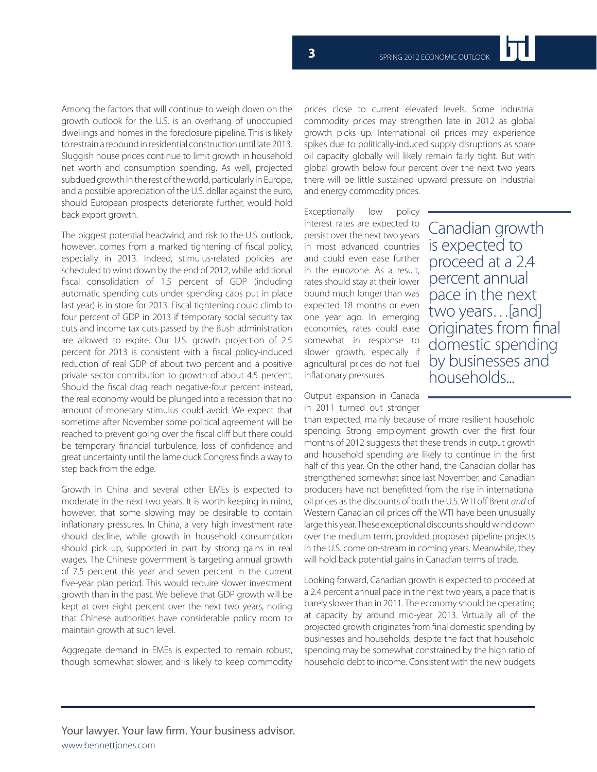Among the factors that will continue to weigh down on the growth outlook for the U.S. is an overhang of unoccupied dwellings and homes in the foreclosure pipeline. This is likely to restrain a rebound in residential construction until late 2013. Sluggish house prices continue to limit growth in household net worth and consumption spending. As well, projected subdued growth in the rest of the world, particularly in Europe, and a possible appreciation of the U.S. dollar against the euro, should European prospects deteriorate further, would hold back export growth.

The biggest potential headwind, and risk to the U.S. outlook, however, comes from a marked tightening of fiscal policy, especially in 2013. Indeed, stimulus-related policies are scheduled to wind down by the end of 2012, while additional fiscal consolidation of 1.5 percent of GDP (including automatic spending cuts under spending caps put in place last year) is in store for 2013. Fiscal tightening could climb to four percent of GDP in 2013 if temporary social security tax cuts and income tax cuts passed by the Bush administration are allowed to expire. Our U.S. growth projection of 2.5 percent for 2013 is consistent with a fiscal policy-induced reduction of real GDP of about two percent and a positive private sector contribution to growth of about 4.5 percent. Should the fiscal drag reach negative-four percent instead, the real economy would be plunged into a recession that no amount of monetary stimulus could avoid. We expect that sometime after November some political agreement will be reached to prevent going over the fiscal cliff but there could be temporary financial turbulence, loss of confidence and great uncertainty until the lame duck Congress finds a way to step back from the edge.

Growth in China and several other EMEs is expected to moderate in the next two years. It is worth keeping in mind, however, that some slowing may be desirable to contain inflationary pressures. In China, a very high investment rate should decline, while growth in household consumption should pick up, supported in part by strong gains in real wages. The Chinese government is targeting annual growth of 7.5 percent this year and seven percent in the current five-year plan period. This would require slower investment growth than in the past. We believe that GDP growth will be kept at over eight percent over the next two years, noting that Chinese authorities have considerable policy room to maintain growth at such level.

Aggregate demand in EMEs is expected to remain robust, though somewhat slower, and is likely to keep commodity

prices close to current elevated levels. Some industrial commodity prices may strengthen late in 2012 as global growth picks up. International oil prices may experience spikes due to politically-induced supply disruptions as spare oil capacity globally will likely remain fairly tight. But with global growth below four percent over the next two years there will be little sustained upward pressure on industrial and energy commodity prices.

Exceptionally low policy interest rates are expected to persist over the next two years in most advanced countries and could even ease further in the eurozone. As a result, rates should stay at their lower bound much longer than was expected 18 months or even one year ago. In emerging economies, rates could ease somewhat in response to slower growth, especially if agricultural prices do not fuel inflationary pressures.

Output expansion in Canada in 2011 turned out stronger

than expected, mainly because of more resilient household spending. Strong employment growth over the first four months of 2012 suggests that these trends in output growth and household spending are likely to continue in the first half of this year. On the other hand, the Canadian dollar has strengthened somewhat since last November, and Canadian producers have not benefitted from the rise in international oil prices as the discounts of both the U.S. WTI off Brent *and* of Western Canadian oil prices off the WTI have been unusually large this year. These exceptional discounts should wind down over the medium term, provided proposed pipeline projects in the U.S. come on-stream in coming years. Meanwhile, they will hold back potential gains in Canadian terms of trade.

Looking forward, Canadian growth is expected to proceed at a 2.4 percent annual pace in the next two years, a pace that is barely slower than in 2011. The economy should be operating at capacity by around mid-year 2013. Virtually all of the projected growth originates from final domestic spending by businesses and households, despite the fact that household spending may be somewhat constrained by the high ratio of household debt to income. Consistent with the new budgets

Canadian growth is expected to proceed at a 2.4 percent annual pace in the next two years…[and] originates from final domestic spending by businesses and households...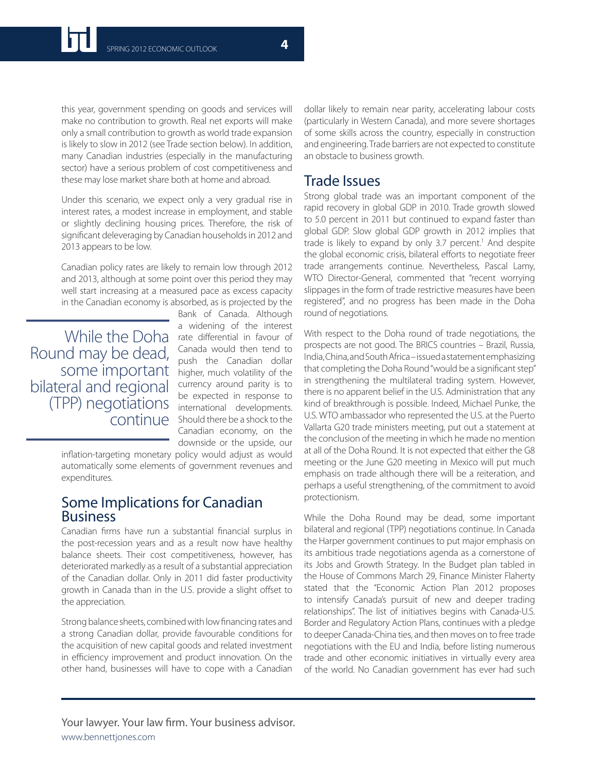this year, government spending on goods and services will make no contribution to growth. Real net exports will make only a small contribution to growth as world trade expansion is likely to slow in 2012 (see Trade section below). In addition, many Canadian industries (especially in the manufacturing sector) have a serious problem of cost competitiveness and these may lose market share both at home and abroad.

Under this scenario, we expect only a very gradual rise in interest rates, a modest increase in employment, and stable or slightly declining housing prices. Therefore, the risk of significant deleveraging by Canadian households in 2012 and 2013 appears to be low.

Canadian policy rates are likely to remain low through 2012 and 2013, although at some point over this period they may well start increasing at a measured pace as excess capacity in the Canadian economy is absorbed, as is projected by the

Round may be dead, some important bilateral and regional (TPP) negotiations continue

Bank of Canada. Although a widening of the interest While the Doha rate differential in favour of Canada would then tend to push the Canadian dollar higher, much volatility of the currency around parity is to be expected in response to international developments. Should there be a shock to the Canadian economy, on the downside or the upside, our

inflation-targeting monetary policy would adjust as would automatically some elements of government revenues and expenditures.

### Some Implications for Canadian Business

Canadian firms have run a substantial financial surplus in the post-recession years and as a result now have healthy balance sheets. Their cost competitiveness, however, has deteriorated markedly as a result of a substantial appreciation of the Canadian dollar. Only in 2011 did faster productivity growth in Canada than in the U.S. provide a slight offset to the appreciation.

Strong balance sheets, combined with low financing rates and a strong Canadian dollar, provide favourable conditions for the acquisition of new capital goods and related investment in efficiency improvement and product innovation. On the other hand, businesses will have to cope with a Canadian

dollar likely to remain near parity, accelerating labour costs (particularly in Western Canada), and more severe shortages of some skills across the country, especially in construction and engineering. Trade barriers are not expected to constitute an obstacle to business growth.

### Trade Issues

Strong global trade was an important component of the rapid recovery in global GDP in 2010. Trade growth slowed to 5.0 percent in 2011 but continued to expand faster than global GDP. Slow global GDP growth in 2012 implies that trade is likely to expand by only 3.7 percent.<sup>1</sup> And despite the global economic crisis, bilateral efforts to negotiate freer trade arrangements continue. Nevertheless, Pascal Lamy, WTO Director-General, commented that "recent worrying slippages in the form of trade restrictive measures have been registered", and no progress has been made in the Doha round of negotiations.

With respect to the Doha round of trade negotiations, the prospects are not good. The BRICS countries – Brazil, Russia, India, China, and South Africa – issued a statement emphasizing that completing the Doha Round "would be a significant step" in strengthening the multilateral trading system. However, there is no apparent belief in the U.S. Administration that any kind of breakthrough is possible. Indeed, Michael Punke, the U.S. WTO ambassador who represented the U.S. at the Puerto Vallarta G20 trade ministers meeting, put out a statement at the conclusion of the meeting in which he made no mention at all of the Doha Round. It is not expected that either the G8 meeting or the June G20 meeting in Mexico will put much emphasis on trade although there will be a reiteration, and perhaps a useful strengthening, of the commitment to avoid protectionism.

While the Doha Round may be dead, some important bilateral and regional (TPP) negotiations continue. In Canada the Harper government continues to put major emphasis on its ambitious trade negotiations agenda as a cornerstone of its Jobs and Growth Strategy. In the Budget plan tabled in the House of Commons March 29, Finance Minister Flaherty stated that the "Economic Action Plan 2012 proposes to intensify Canada's pursuit of new and deeper trading relationships". The list of initiatives begins with Canada-U.S. Border and Regulatory Action Plans, continues with a pledge to deeper Canada-China ties, and then moves on to free trade negotiations with the EU and India, before listing numerous trade and other economic initiatives in virtually every area of the world. No Canadian government has ever had such

Your lawyer. Your law firm. Your business advisor. www.bennettjones.com